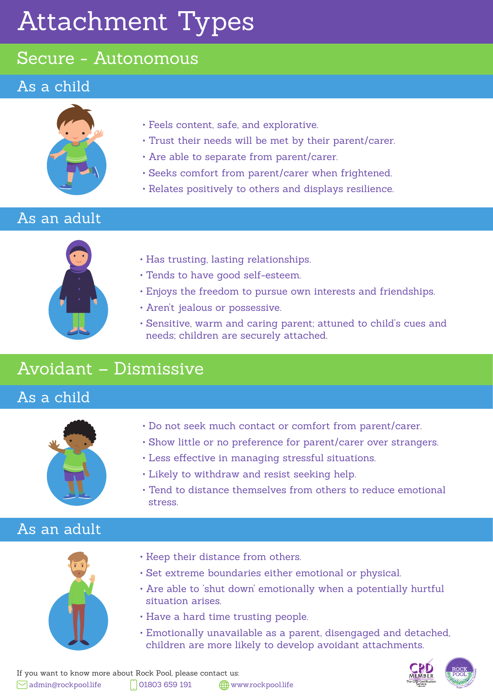# Attachment Types

## Secure - Autonomous

### As a child



- Feels content, safe, and explorative.
- Trust their needs will be met by their parent/carer.
- Are able to separate from parent/carer.
- Seeks comfort from parent/carer when frightened.
- Relates positively to others and displays resilience.

## As an adult



- Has trusting, lasting relationships.
- Tends to have good self-esteem.
- Enjoys the freedom to pursue own interests and friendships.
- Aren't jealous or possessive.
- Sensitive, warm and caring parent; attuned to child's cues and needs; children are securely attached.

# Avoidant – Dismissive

As a child



- Do not seek much contact or comfort from parent/carer.
- Show little or no preference for parent/carer over strangers.
- Less effective in managing stressful situations.
- Likely to withdraw and resist seeking help.
- Tend to distance themselves from others to reduce emotional stress.

## As an adult



- Keep their distance from others.
- Set extreme boundaries either emotional or physical.
- Are able to 'shut down' emotionally when a potentially hurtful situation arises.
- Have a hard time trusting people.
- Emotionally unavailable as a parent, disengaged and detached, children are more likely to develop avoidant attachments.

If you want to know more about Rock Pool, please contact us:  $\heartsuit$  admin@rockpool.life  $\Box$  01803 659 191  $\Box$  www.rockpool.life